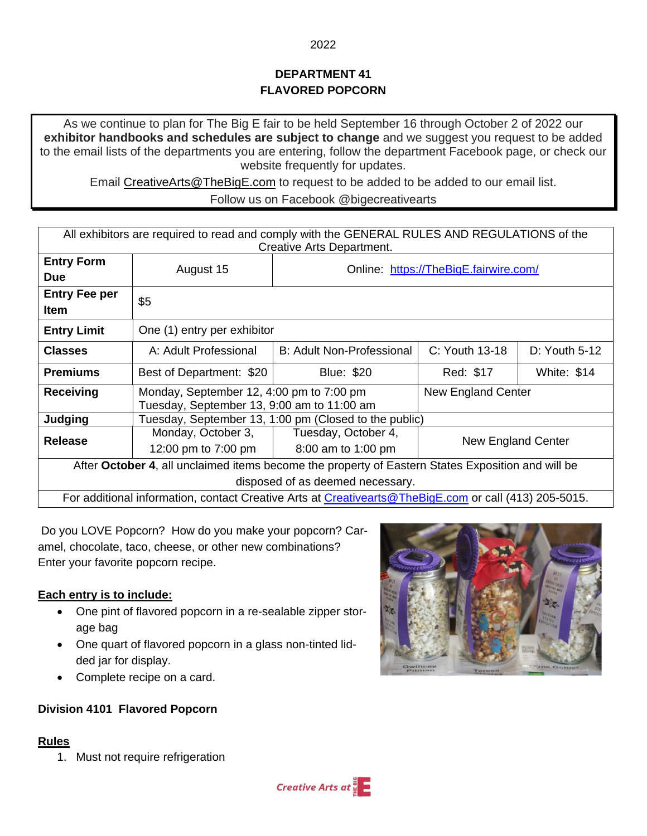# **DEPARTMENT 41 FLAVORED POPCORN**

As we continue to plan for The Big E fair to be held September 16 through October 2 of 2022 our **exhibitor handbooks and schedules are subject to change** and we suggest you request to be added to the email lists of the departments you are entering, follow the department Facebook page, or check our website frequently for updates.

Email [CreativeArts@TheBigE.com](mailto:CreativeArts@TheBigE.com) to request to be added to be added to our email list. Follow us on Facebook @bigecreativearts

| All exhibitors are required to read and comply with the GENERAL RULES AND REGULATIONS of the              |                                                                                        |                                  |                                       |                    |
|-----------------------------------------------------------------------------------------------------------|----------------------------------------------------------------------------------------|----------------------------------|---------------------------------------|--------------------|
| Creative Arts Department.                                                                                 |                                                                                        |                                  |                                       |                    |
| <b>Entry Form</b>                                                                                         | August 15                                                                              |                                  | Online: https://TheBigE.fairwire.com/ |                    |
| <b>Due</b>                                                                                                |                                                                                        |                                  |                                       |                    |
| <b>Entry Fee per</b><br><b>Item</b>                                                                       | \$5                                                                                    |                                  |                                       |                    |
| <b>Entry Limit</b>                                                                                        | One (1) entry per exhibitor                                                            |                                  |                                       |                    |
| <b>Classes</b>                                                                                            | A: Adult Professional                                                                  | <b>B: Adult Non-Professional</b> | $C:$ Youth 13-18                      | D: Youth 5-12      |
| <b>Premiums</b>                                                                                           | Best of Department: \$20                                                               | <b>Blue: \$20</b>                | Red: \$17                             | <b>White: \$14</b> |
| <b>Receiving</b>                                                                                          | Monday, September 12, 4:00 pm to 7:00 pm<br>Tuesday, September 13, 9:00 am to 11:00 am |                                  | New England Center                    |                    |
| Judging                                                                                                   | Tuesday, September 13, 1:00 pm (Closed to the public)                                  |                                  |                                       |                    |
| <b>Release</b>                                                                                            | Monday, October 3,                                                                     | Tuesday, October 4,              | New England Center                    |                    |
|                                                                                                           | 12:00 pm to 7:00 pm                                                                    | 8:00 am to 1:00 pm               |                                       |                    |
| After October 4, all unclaimed items become the property of Eastern States Exposition and will be         |                                                                                        |                                  |                                       |                    |
| disposed of as deemed necessary.                                                                          |                                                                                        |                                  |                                       |                    |
| For additional information, contact Creative Arts at Creativearts @ The Big E.com or call (413) 205-5015. |                                                                                        |                                  |                                       |                    |

Do you LOVE Popcorn? How do you make your popcorn? Caramel, chocolate, taco, cheese, or other new combinations? Enter your favorite popcorn recipe.

## **Each entry is to include:**

- One pint of flavored popcorn in a re-sealable zipper storage bag
- One quart of flavored popcorn in a glass non-tinted lidded jar for display.
- Complete recipe on a card.

### **Division 4101 Flavored Popcorn**

### **Rules**

1. Must not require refrigeration